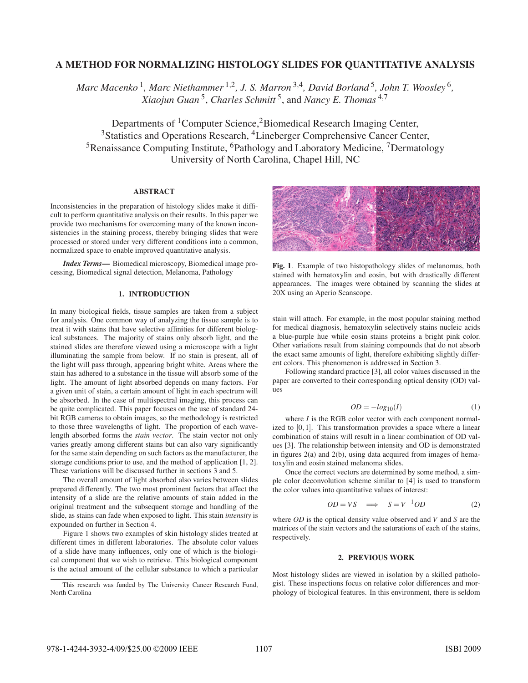# A METHOD FOR NORMALIZING HISTOLOGY SLIDES FOR QUANTITATIVE ANALYSIS

*Marc Macenko* <sup>1</sup>*, Marc Niethammer* <sup>1</sup>,2*, J. S. Marron* <sup>3</sup>,4*, David Borland* <sup>5</sup>*, John T. Woosley* <sup>6</sup>*, Xiaojun Guan* 5, *Charles Schmitt* 5, and *Nancy E. Thomas* <sup>4</sup>,<sup>7</sup>

Departments of <sup>1</sup>Computer Science, <sup>2</sup>Biomedical Research Imaging Center, <sup>3</sup>Statistics and Operations Research, <sup>4</sup>Lineberger Comprehensive Cancer Center, <sup>5</sup>Renaissance Computing Institute, <sup>6</sup>Pathology and Laboratory Medicine, <sup>7</sup>Dermatology University of North Carolina, Chapel Hill, NC

## **ABSTRACT**

Inconsistencies in the preparation of histology slides make it difficult to perform quantitative analysis on their results. In this paper we provide two mechanisms for overcoming many of the known inconsistencies in the staining process, thereby bringing slides that were processed or stored under very different conditions into a common, normalized space to enable improved quantitative analysis.

*Index Terms*— Biomedical microscopy, Biomedical image processing, Biomedical signal detection, Melanoma, Pathology

In many biological fields, tissue samples are taken from a subject for analysis. One common way of analyzing the tissue sample is to treat it with stains that have selective affinities for different biological substances. The majority of stains only absorb light, and the stained slides are therefore viewed using a microscope with a light illuminating the sample from below. If no stain is present, all of the light will pass through, appearing bright white. Areas where the stain has adhered to a substance in the tissue will absorb some of the light. The amount of light absorbed depends on many factors. For a given unit of stain, a certain amount of light in each spectrum will be absorbed. In the case of multispectral imaging, this process can be quite complicated. This paper focuses on the use of standard 24 bit RGB cameras to obtain images, so the methodology is restricted to those three wavelengths of light. The proportion of each wavelength absorbed forms the *stain vector*. The stain vector not only varies greatly among different stains but can also vary significantly for the same stain depending on such factors as the manufacturer, the storage conditions prior to use, and the method of application [1, 2]. These variations will be discussed further in sections 3 and 5.

The overall amount of light absorbed also varies between slides prepared differently. The two most prominent factors that affect the intensity of a slide are the relative amounts of stain added in the original treatment and the subsequent storage and handling of the slide, as stains can fade when exposed to light. This stain *intensity* is expounded on further in Section 4.

Figure 1 shows two examples of skin histology slides treated at different times in different laboratories. The absolute color values of a slide have many influences, only one of which is the biological component that we wish to retrieve. This biological component is the actual amount of the cellular substance to which a particular



Fig. 1. Example of two histopathology slides of melanomas, both stained with hematoxylin and eosin, but with drastically different appearances. The images were obtained by scanning the slides at 20X using an Aperio Scanscope.

stain will attach. For example, in the most popular staining method for medical diagnosis, hematoxylin selectively stains nucleic acids a blue-purple hue while eosin stains proteins a bright pink color. Other variations result from staining compounds that do not absorb the exact same amounts of light, therefore exhibiting slightly different colors. This phenomenon is addressed in Section 3.

Following standard practice [3], all color values discussed in the paper are converted to their corresponding optical density (OD) values

$$
OD = -log_{10}(I) \tag{1}
$$

where *I* is the RGB color vector with each component normalized to  $[0,1]$ . This transformation provides a space where a linear combination of stains will result in a linear combination of OD values [3]. The relationship between intensity and OD is demonstrated in figures 2(a) and 2(b), using data acquired from images of hematoxylin and eosin stained melanoma slides.

Once the correct vectors are determined by some method, a simple color deconvolution scheme similar to [4] is used to transform the color values into quantitative values of interest:

$$
OD = VS \quad \Longrightarrow \quad S = V^{-1}OD \tag{2}
$$

where *OD* is the optical density value observed and *V* and *S* are the matrices of the stain vectors and the saturations of each of the stains, respectively.

Most histology slides are viewed in isolation by a skilled pathologist. These inspections focus on relative color differences and morphology of biological features. In this environment, there is seldom

This research was funded by The University Cancer Research Fund, North Carolina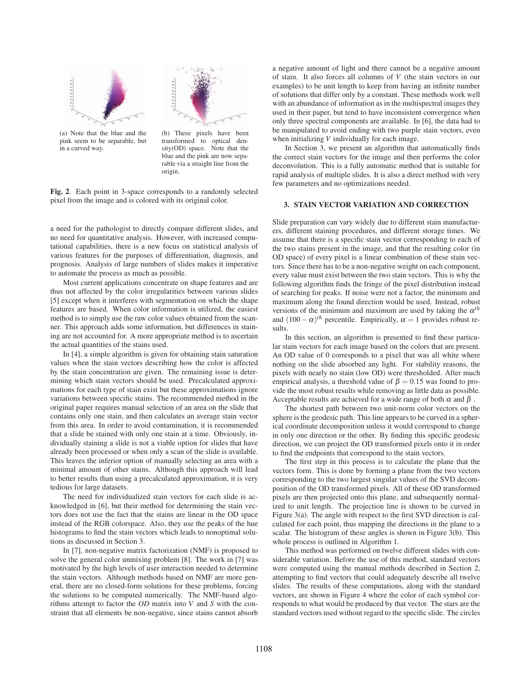



(a) Note that the blue and the pink seem to be separable, but in a curved way.

(b) These pixels have been transformed to optical density(OD) space. Note that the blue and the pink are now separable via a straight line from the origin.

Fig. 2. Each point in 3-space corresponds to a randomly selected pixel from the image and is colored with its original color.

a need for the pathologist to directly compare different slides, and no need for quantitative analysis. However, with increased computational capabilities, there is a new focus on statistical analysis of various features for the purposes of differentiation, diagnosis, and prognosis. Analysis of large numbers of slides makes it imperative to automate the process as much as possible.

Most current applications concentrate on shape features and are thus not affected by the color irregularities between various slides [5] except when it interferes with segmentation on which the shape features are based. When color information is utilized, the easiest method is to simply use the raw color values obtained from the scanner. This approach adds some information, but differences in staining are not accounted for. A more appropriate method is to ascertain the actual quantities of the stains used.

In [4], a simple algorithm is given for obtaining stain saturation values when the stain vectors describing how the color is affected by the stain concentration are given. The remaining issue is determining which stain vectors should be used. Precalculated approximations for each type of stain exist but these approximations ignore variations between specific stains. The recommended method in the original paper requires manual selection of an area on the slide that contains only one stain, and then calculates an average stain vector from this area. In order to avoid contamination, it is recommended that a slide be stained with only one stain at a time. Obviously, individually staining a slide is not a viable option for slides that have already been processed or when only a scan of the slide is available. This leaves the inferior option of manually selecting an area with a minimal amount of other stains. Although this approach will lead to better results than using a precalculated approximation, it is very tedious for large datasets.

The need for individualized stain vectors for each slide is acknowledged in [6], but their method for determining the stain vectors does not use the fact that the stains are linear in the OD space instead of the RGB colorspace. Also, they use the peaks of the hue histograms to find the stain vectors which leads to nonoptimal solutions as discussed in Section 3.

In [7], non-negative matrix factorization (NMF) is proposed to solve the general color unmixing problem [8]. The work in [7] was motivated by the high levels of user interaction needed to determine the stain vectors. Although methods based on NMF are more general, there are no closed-form solutions for these problems, forcing the solutions to be computed numerically. The NMF-based algorithms attempt to factor the *OD* matrix into *V* and *S* with the constraint that all elements be non-negative, since stains cannot absorb a negative amount of light and there cannot be a negative amount of stain. It also forces all columns of *V* (the stain vectors in our examples) to be unit length to keep from having an infinite number of solutions that differ only by a constant. These methods work well with an abundance of information as in the multispectral images they used in their paper, but tend to have inconsistent convergence when only three spectral components are available. In [6], the data had to be manipulated to avoid ending with two purple stain vectors, even when initializing *V* individually for each image.

In Section 3, we present an algorithm that automatically finds the correct stain vectors for the image and then performs the color deconvolution. This is a fully automatic method that is suitable for rapid analysis of multiple slides. It is also a direct method with very few parameters and no optimizations needed.

Slide preparation can vary widely due to different stain manufacturers, different staining procedures, and different storage times. We assume that there is a specific stain vector corresponding to each of the two stains present in the image, and that the resulting color (in OD space) of every pixel is a linear combination of these stain vectors. Since there has to be a non-negative weight on each component, every value must exist between the two stain vectors. This is why the following algorithm finds the fringe of the pixel distribution instead of searching for peaks. If noise were not a factor, the minimum and maximum along the found direction would be used. Instead, robust versions of the minimum and maximum are used by taking the  $\alpha^{th}$ and  $(100 - \alpha)^{th}$  percentile. Empirically,  $\alpha = 1$  provides robust results.

In this section, an algorithm is presented to find these particular stain vectors for each image based on the colors that are present. An OD value of 0 corresponds to a pixel that was all white where nothing on the slide absorbed any light. For stability reasons, the pixels with nearly no stain (low OD) were thresholded. After much empirical analysis, a threshold value of  $\beta = 0.15$  was found to provide the most robust results while removing as little data as possible. Acceptable results are achieved for a wide range of both  $\alpha$  and  $\beta$ .

The shortest path between two unit-norm color vectors on the sphere is the geodesic path. This line appears to be curved in a spherical coordinate decomposition unless it would correspond to change in only one direction or the other. By finding this specific geodesic direction, we can project the OD transformed pixels onto it in order to find the endpoints that correspond to the stain vectors.

The first step in this process is to calculate the plane that the vectors form. This is done by forming a plane from the two vectors corresponding to the two largest singular values of the SVD decomposition of the OD transformed pixels. All of these OD transformed pixels are then projected onto this plane, and subsequently normalized to unit length. The projection line is shown to be curved in Figure 3(a). The angle with respect to the first SVD direction is calculated for each point, thus mapping the directions in the plane to a scalar. The histogram of these angles is shown in Figure 3(b). This whole process is outlined in Algorithm 1.

This method was performed on twelve different slides with considerable variation. Before the use of this method, standard vectors were computed using the manual methods described in Section 2, attempting to find vectors that could adequately describe all twelve slides. The results of these computations, along with the standard vectors, are shown in Figure 4 where the color of each symbol corresponds to what would be produced by that vector. The stars are the standard vectors used without regard to the specific slide. The circles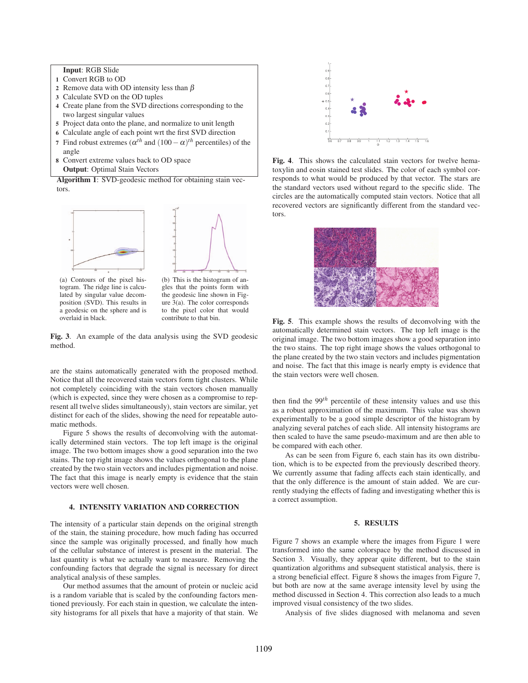### Input: RGB Slide

- 1 Convert RGB to OD
- 2 Remove data with OD intensity less than  $\beta$
- 3 Calculate SVD on the OD tuples
- 4 Create plane from the SVD directions corresponding to the two largest singular values
- 5 Project data onto the plane, and normalize to unit length
- 6 Calculate angle of each point wrt the first SVD direction
- 7 Find robust extremes ( $\alpha^{th}$  and  $(100 \alpha)^{th}$  percentiles) of the angle
- 8 Convert extreme values back to OD space Output: Optimal Stain Vectors

Algorithm 1: SVD-geodesic method for obtaining stain vectors.





(a) Contours of the pixel histogram. The ridge line is calculated by singular value decomposition (SVD). This results in a geodesic on the sphere and is overlaid in black.

gles that the points form with the geodesic line shown in Figure 3(a). The color corresponds to the pixel color that would contribute to that bin.

Fig. 3. An example of the data analysis using the SVD geodesic method.

are the stains automatically generated with the proposed method. Notice that all the recovered stain vectors form tight clusters. While not completely coinciding with the stain vectors chosen manually (which is expected, since they were chosen as a compromise to represent all twelve slides simultaneously), stain vectors are similar, yet distinct for each of the slides, showing the need for repeatable automatic methods.

Figure 5 shows the results of deconvolving with the automatically determined stain vectors. The top left image is the original image. The two bottom images show a good separation into the two stains. The top right image shows the values orthogonal to the plane created by the two stain vectors and includes pigmentation and noise. The fact that this image is nearly empty is evidence that the stain vectors were well chosen.

The intensity of a particular stain depends on the original strength of the stain, the staining procedure, how much fading has occurred since the sample was originally processed, and finally how much of the cellular substance of interest is present in the material. The last quantity is what we actually want to measure. Removing the confounding factors that degrade the signal is necessary for direct analytical analysis of these samples.

Our method assumes that the amount of protein or nucleic acid is a random variable that is scaled by the confounding factors mentioned previously. For each stain in question, we calculate the intensity histograms for all pixels that have a majority of that stain. We



Fig. 4. This shows the calculated stain vectors for twelve hematoxylin and eosin stained test slides. The color of each symbol corresponds to what would be produced by that vector. The stars are the standard vectors used without regard to the specific slide. The circles are the automatically computed stain vectors. Notice that all recovered vectors are significantly different from the standard vectors.



Fig. 5. This example shows the results of deconvolving with the automatically determined stain vectors. The top left image is the original image. The two bottom images show a good separation into the two stains. The top right image shows the values orthogonal to the plane created by the two stain vectors and includes pigmentation and noise. The fact that this image is nearly empty is evidence that the stain vectors were well chosen.

then find the 99*th* percentile of these intensity values and use this as a robust approximation of the maximum. This value was shown experimentally to be a good simple descriptor of the histogram by analyzing several patches of each slide. All intensity histograms are then scaled to have the same pseudo-maximum and are then able to be compared with each other.

As can be seen from Figure 6, each stain has its own distribution, which is to be expected from the previously described theory. We currently assume that fading affects each stain identically, and that the only difference is the amount of stain added. We are currently studying the effects of fading and investigating whether this is a correct assumption.

Figure 7 shows an example where the images from Figure 1 were transformed into the same colorspace by the method discussed in Section 3. Visually, they appear quite different, but to the stain quantization algorithms and subsequent statistical analysis, there is a strong beneficial effect. Figure 8 shows the images from Figure 7, but both are now at the same average intensity level by using the method discussed in Section 4. This correction also leads to a much improved visual consistency of the two slides.

Analysis of five slides diagnosed with melanoma and seven